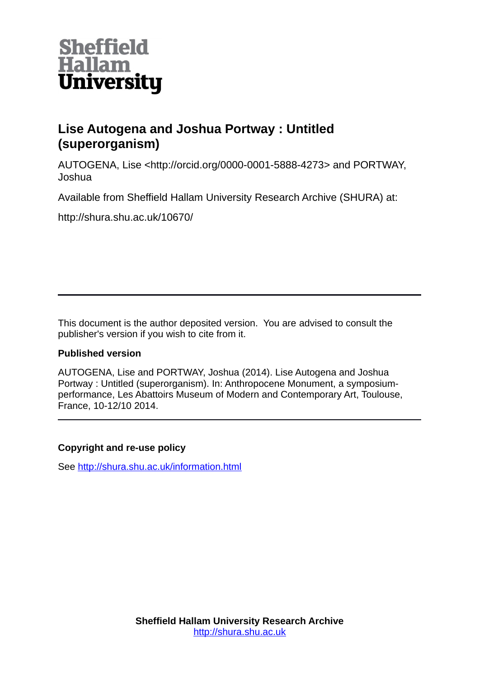

## **Lise Autogena and Joshua Portway : Untitled (superorganism)**

AUTOGENA, Lise <http://orcid.org/0000-0001-5888-4273> and PORTWAY, Joshua

Available from Sheffield Hallam University Research Archive (SHURA) at:

http://shura.shu.ac.uk/10670/

This document is the author deposited version. You are advised to consult the publisher's version if you wish to cite from it.

## **Published version**

AUTOGENA, Lise and PORTWAY, Joshua (2014). Lise Autogena and Joshua Portway : Untitled (superorganism). In: Anthropocene Monument, a symposiumperformance, Les Abattoirs Museum of Modern and Contemporary Art, Toulouse, France, 10-12/10 2014.

## **Copyright and re-use policy**

See<http://shura.shu.ac.uk/information.html>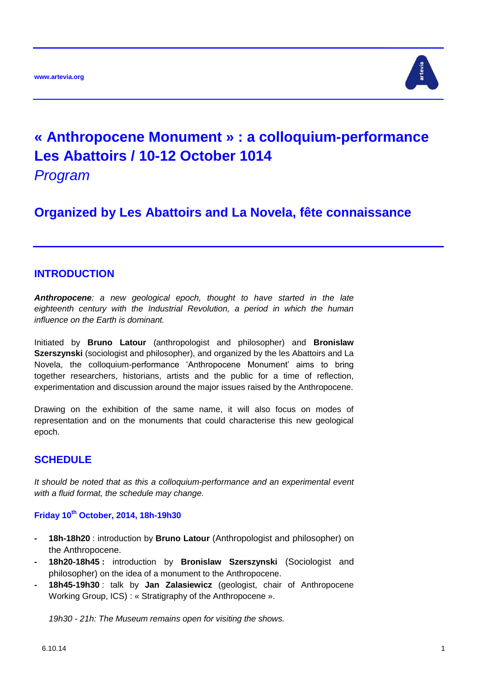

# **« Anthropocene Monument » : a colloquium-performance Les Abattoirs / 10-12 October 1014**

*Program*

**Organized by Les Abattoirs and La Novela, fête connaissance**

## **INTRODUCTION**

*Anthropocene: a new geological epoch, thought to have started in the late eighteenth century with the Industrial Revolution, a period in which the human influence on the Earth is dominant.*

Initiated by **Bruno Latour** (anthropologist and philosopher) and **Bronislaw Szerszynski** (sociologist and philosopher), and organized by the les Abattoirs and La Novela, the colloquium-performance 'Anthropocene Monument' aims to bring together researchers, historians, artists and the public for a time of reflection, experimentation and discussion around the major issues raised by the Anthropocene.

Drawing on the exhibition of the same name, it will also focus on modes of representation and on the monuments that could characterise this new geological epoch.

## **SCHEDULE**

*It should be noted that as this a colloquium-performance and an experimental event with a fluid format, the schedule may change.*

### **Friday 10th October, 2014, 18h-19h30**

- **- 18h-18h20** : introduction by **Bruno Latour** (Anthropologist and philosopher) on the Anthropocene.
- **- 18h20-18h45 :** introduction by **Bronislaw Szerszynski** (Sociologist and philosopher) on the idea of a monument to the Anthropocene.
- **- 18h45-19h30** : talk by **Jan Zalasiewicz** (geologist, chair of Anthropocene Working Group, ICS) : « Stratigraphy of the Anthropocene ».

*19h30 - 21h: The Museum remains open for visiting the shows.*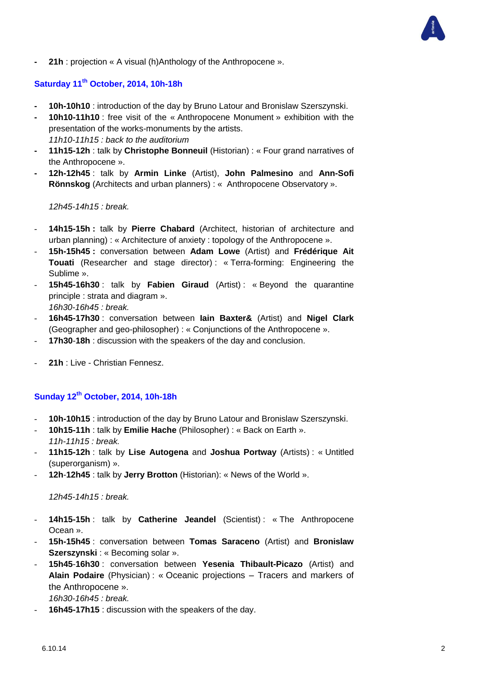**- 21h** : projection « A visual (h)Anthology of the Anthropocene ».

## **Saturday 11th October, 2014, 10h-18h**

- **- 10h-10h10** : introduction of the day by Bruno Latour and Bronislaw Szerszynski.
- **- 10h10-11h10** : free visit of the « Anthropocene Monument » exhibition with the presentation of the works-monuments by the artists. *11h10-11h15 : back to the auditorium*
- **- 11h15-12h** : talk by **Christophe Bonneuil** (Historian) : « Four grand narratives of the Anthropocene ».
- **- 12h-12h45** : talk by **Armin Linke** (Artist), **John Palmesino** and **Ann-Sofi Rönnskog** (Architects and urban planners) : « Anthropocene Observatory ».

*12h45-14h15 : break.*

- **14h15-15h :** talk by **Pierre Chabard** (Architect, historian of architecture and urban planning) : « Architecture of anxiety : topology of the Anthropocene ».
- **15h-15h45 :** conversation between **Adam Lowe** (Artist) and **Frédérique Ait Touati** (Researcher and stage director) : « Terra-forming: Engineering the Sublime ».
- **15h45-16h30** : talk by **Fabien Giraud** (Artist) : « Beyond the quarantine principle : strata and diagram ». *16h30-16h45 : break.*
- **16h45-17h30** : conversation between **Iain Baxter&** (Artist) and **Nigel Clark** (Geographer and geo-philosopher) : « Conjunctions of the Anthropocene ».
- **17h30**-**18h** : discussion with the speakers of the day and conclusion.
- 21h : Live Christian Fennesz.

## **Sunday 12th October, 2014, 10h-18h**

- 10h-10h15 : introduction of the day by Bruno Latour and Bronislaw Szerszynski.
- **10h15-11h** : talk by **Emilie Hache** (Philosopher) : « Back on Earth ». *11h-11h15 : break.*
- **11h15-12h** : talk by **Lise Autogena** and **Joshua Portway** (Artists) : « Untitled (superorganism) ».
- **12h**-**12h45** : talk by **Jerry Brotton** (Historian): « News of the World ».

#### *12h45-14h15 : break.*

- **14h15-15h** : talk by **Catherine Jeandel** (Scientist) : « The Anthropocene Ocean ».
- **15h-15h45** : conversation between **Tomas Saraceno** (Artist) and **Bronislaw Szerszynski** : « Becoming solar ».
- **15h45**-**16h30** : conversation between **Yesenia Thibault-Picazo** (Artist) and **Alain Podaire** (Physician) : « Oceanic projections – Tracers and markers of the Anthropocene ».

*16h30-16h45 : break.*

16h45-17h15 : discussion with the speakers of the day.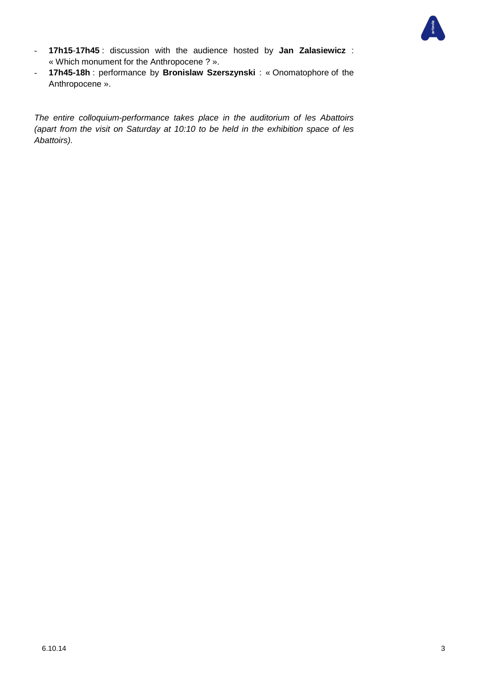

- **17h15**-**17h45** : discussion with the audience hosted by **Jan Zalasiewicz** : « Which monument for the Anthropocene ? ».
- **17h45-18h** : performance by **Bronislaw Szerszynski** : « Onomatophore of the Anthropocene ».

*The entire colloquium-performance takes place in the auditorium of les Abattoirs (apart from the visit on Saturday at 10:10 to be held in the exhibition space of les Abattoirs).*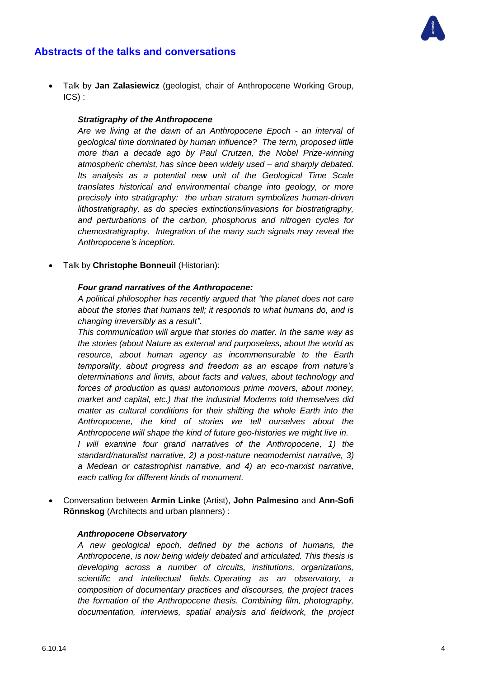



 Talk by **Jan Zalasiewicz** (geologist, chair of Anthropocene Working Group, ICS) :

#### *Stratigraphy of the Anthropocene*

*Are we living at the dawn of an Anthropocene Epoch - an interval of geological time dominated by human influence? The term, proposed little more than a decade ago by Paul Crutzen, the Nobel Prize-winning atmospheric chemist, has since been widely used – and sharply debated. Its analysis as a potential new unit of the Geological Time Scale translates historical and environmental change into geology, or more precisely into stratigraphy: the urban stratum symbolizes human-driven lithostratigraphy, as do species extinctions/invasions for biostratigraphy, and perturbations of the carbon, phosphorus and nitrogen cycles for chemostratigraphy. Integration of the many such signals may reveal the Anthropocene's inception.*

Talk by **Christophe Bonneuil** (Historian):

#### *Four grand narratives of the Anthropocene:*

*A political philosopher has recently argued that "the planet does not care about the stories that humans tell; it responds to what humans do, and is changing irreversibly as a result".* 

*This communication will argue that stories do matter. In the same way as the stories (about Nature as external and purposeless, about the world as resource, about human agency as incommensurable to the Earth temporality, about progress and freedom as an escape from nature's determinations and limits, about facts and values, about technology and forces of production as quasi autonomous prime movers, about money, market and capital, etc.) that the industrial Moderns told themselves did matter as cultural conditions for their shifting the whole Earth into the Anthropocene, the kind of stories we tell ourselves about the Anthropocene will shape the kind of future geo-histories we might live in. I will examine four grand narratives of the Anthropocene, 1) the standard/naturalist narrative, 2) a post-nature neomodernist narrative, 3) a Medean or catastrophist narrative, and 4) an eco-marxist narrative, each calling for different kinds of monument.*

 Conversation between **Armin Linke** (Artist), **John Palmesino** and **Ann-Sofi Rönnskog** (Architects and urban planners) :

#### *Anthropocene Observatory*

*A new geological epoch, defined by the actions of humans, the Anthropocene, is now being widely debated and articulated. This thesis is developing across a number of circuits, institutions, organizations, scientific and intellectual fields. Operating as an observatory, a composition of documentary practices and discourses, the project traces the formation of the Anthropocene thesis. Combining film, photography, documentation, interviews, spatial analysis and fieldwork, the project*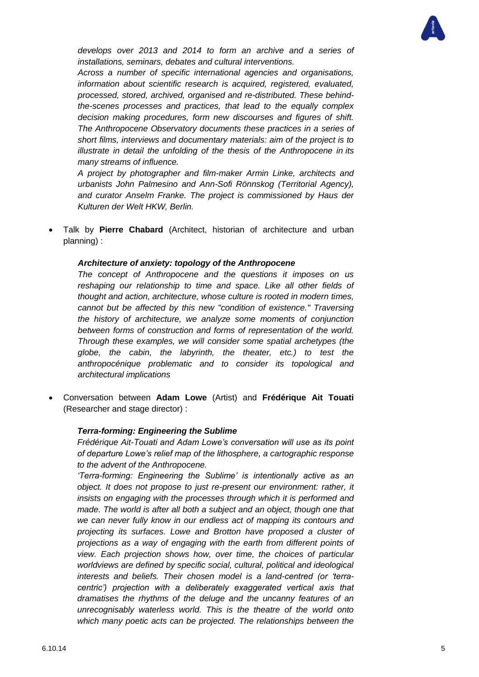

*develops over 2013 and 2014 to form an archive and a series of installations, seminars, debates and cultural interventions.*

*Across a number of specific international agencies and organisations, information about scientific research is acquired, registered, evaluated, processed, stored, archived, organised and re-distributed. These behindthe-scenes processes and practices, that lead to the equally complex decision making procedures, form new discourses and figures of shift. The Anthropocene Observatory documents these practices in a series of short films, interviews and documentary materials: aim of the project is to illustrate in detail the unfolding of the thesis of the Anthropocene in its many streams of influence.*

*A project by photographer and film-maker Armin Linke, architects and urbanists John Palmesino and Ann-Sofi Rönnskog (Territorial Agency), and curator Anselm Franke. The project is commissioned by Haus der Kulturen der Welt HKW, Berlin.*

 Talk by **Pierre Chabard** (Architect, historian of architecture and urban planning) :

#### *Architecture of anxiety: topology of the Anthropocene*

*The concept of Anthropocene and the questions it imposes on us reshaping our relationship to time and space. Like all other fields of thought and action, architecture, whose culture is rooted in modern times, cannot but be affected by this new "condition of existence." Traversing the history of architecture, we analyze some moments of conjunction between forms of construction and forms of representation of the world. Through these examples, we will consider some spatial archetypes (the globe, the cabin, the labyrinth, the theater, etc.) to test the anthropocénique problematic and to consider its topological and architectural implications*

 Conversation between **Adam Lowe** (Artist) and **Frédérique Ait Touati** (Researcher and stage director) :

#### *Terra-forming: Engineering the Sublime*

*Frédérique Ait-Touati and Adam Lowe's conversation will use as its point of departure Lowe's relief map of the lithosphere, a cartographic response to the advent of the Anthropocene.* 

*'Terra-forming: Engineering the Sublime' is intentionally active as an object. It does not propose to just re-present our environment: rather, it insists on engaging with the processes through which it is performed and made. The world is after all both a subject and an object, though one that we can never fully know in our endless act of mapping its contours and projecting its surfaces. Lowe and Brotton have proposed a cluster of projections as a way of engaging with the earth from different points of view. Each projection shows how, over time, the choices of particular worldviews are defined by specific social, cultural, political and ideological interests and beliefs. Their chosen model is a land-centred (or 'terracentric') projection with a deliberately exaggerated vertical axis that dramatises the rhythms of the deluge and the uncanny features of an unrecognisably waterless world. This is the theatre of the world onto which many poetic acts can be projected. The relationships between the*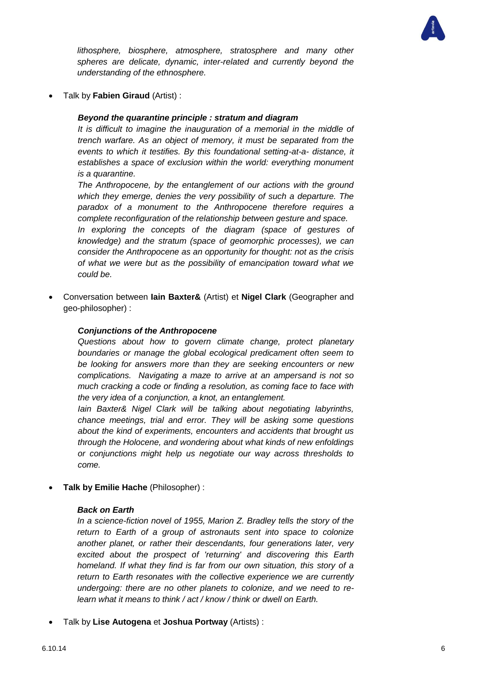

*lithosphere, biosphere, atmosphere, stratosphere and many other spheres are delicate, dynamic, inter-related and currently beyond the understanding of the ethnosphere.*

Talk by **Fabien Giraud** (Artist) :

#### *Beyond the quarantine principle : stratum and diagram*

*It is difficult to imagine the inauguration of a memorial in the middle of trench warfare. As an object of memory, it must be separated from the events to which it testifies. By this foundational setting-at-a- distance, it establishes a space of exclusion within the world: everything monument is a quarantine.*

*The Anthropocene, by the entanglement of our actions with the ground which they emerge, denies the very possibility of such a departure. The paradox of a monument to the Anthropocene therefore requires a complete reconfiguration of the relationship between gesture and space.*

*In exploring the concepts of the diagram (space of gestures of knowledge) and the stratum (space of geomorphic processes), we can consider the Anthropocene as an opportunity for thought: not as the crisis of what we were but as the possibility of emancipation toward what we could be.*

 Conversation between **Iain Baxter&** (Artist) et **Nigel Clark** (Geographer and geo-philosopher) :

#### *Conjunctions of the Anthropocene*

*Questions about how to govern climate change, protect planetary boundaries or manage the global ecological predicament often seem to be looking for answers more than they are seeking encounters or new complications. Navigating a maze to arrive at an ampersand is not so much cracking a code or finding a resolution, as coming face to face with the very idea of a conjunction, a knot, an entanglement.* 

*Iain Baxter& Nigel Clark will be talking about negotiating labyrinths, chance meetings, trial and error. They will be asking some questions about the kind of experiments, encounters and accidents that brought us through the Holocene, and wondering about what kinds of new enfoldings or conjunctions might help us negotiate our way across thresholds to come.* 

**Talk by Emilie Hache** (Philosopher) :

#### *Back on Earth*

*In a science-fiction novel of 1955, Marion Z. Bradley tells the story of the return to Earth of a group of astronauts sent into space to colonize another planet, or rather their descendants, four generations later, very excited about the prospect of 'returning' and discovering this Earth homeland. If what they find is far from our own situation, this story of a return to Earth resonates with the collective experience we are currently undergoing: there are no other planets to colonize, and we need to relearn what it means to think / act / know / think or dwell on Earth.*

Talk by **Lise Autogena** et **Joshua Portway** (Artists) :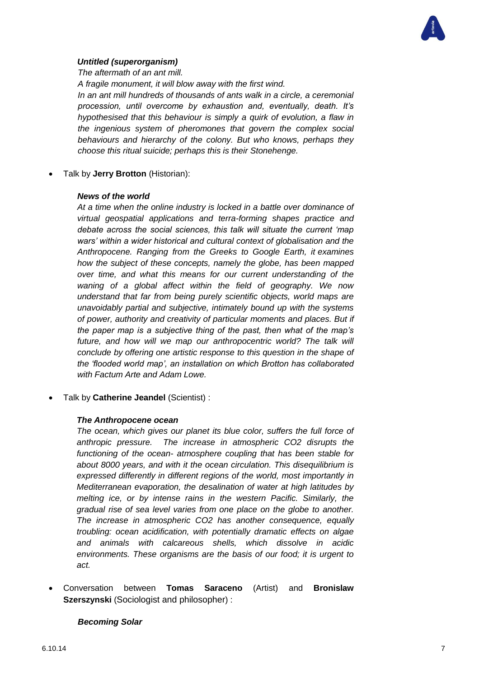

#### *Untitled (superorganism)*

*The aftermath of an ant mill.*

*A fragile monument, it will blow away with the first wind.*

*In an ant mill hundreds of thousands of ants walk in a circle, a ceremonial procession, until overcome by exhaustion and, eventually, death. It's hypothesised that this behaviour is simply a quirk of evolution, a flaw in the ingenious system of pheromones that govern the complex social behaviours and hierarchy of the colony. But who knows, perhaps they choose this ritual suicide; perhaps this is their Stonehenge.*

Talk by **Jerry Brotton** (Historian):

#### *News of the world*

*At a time when the online industry is locked in a battle over dominance of virtual geospatial applications and terra-forming shapes practice and debate across the social sciences, this talk will situate the current 'map wars' within a wider historical and cultural context of globalisation and the Anthropocene. Ranging from the Greeks to Google Earth, it examines how the subject of these concepts, namely the globe, has been mapped over time, and what this means for our current understanding of the waning of a global affect within the field of geography. We now understand that far from being purely scientific objects, world maps are unavoidably partial and subjective, intimately bound up with the systems of power, authority and creativity of particular moments and places. But if the paper map is a subjective thing of the past, then what of the map's*  future, and how will we map our anthropocentric world? The talk will *conclude by offering one artistic response to this question in the shape of the 'flooded world map', an installation on which Brotton has collaborated with Factum Arte and Adam Lowe.*

Talk by **Catherine Jeandel** (Scientist) :

#### *The Anthropocene ocean*

*The ocean, which gives our planet its blue color, suffers the full force of anthropic pressure. The increase in atmospheric CO2 disrupts the functioning of the ocean- atmosphere coupling that has been stable for about 8000 years, and with it the ocean circulation. This disequilibrium is expressed differently in different regions of the world, most importantly in Mediterranean evaporation, the desalination of water at high latitudes by melting ice, or by intense rains in the western Pacific. Similarly, the gradual rise of sea level varies from one place on the globe to another. The increase in atmospheric CO2 has another consequence, equally troubling: ocean acidification, with potentially dramatic effects on algae and animals with calcareous shells, which dissolve in acidic environments. These organisms are the basis of our food; it is urgent to act.*

 Conversation between **Tomas Saraceno** (Artist) and **Bronislaw Szerszynski** (Sociologist and philosopher) :

#### *Becoming Solar*